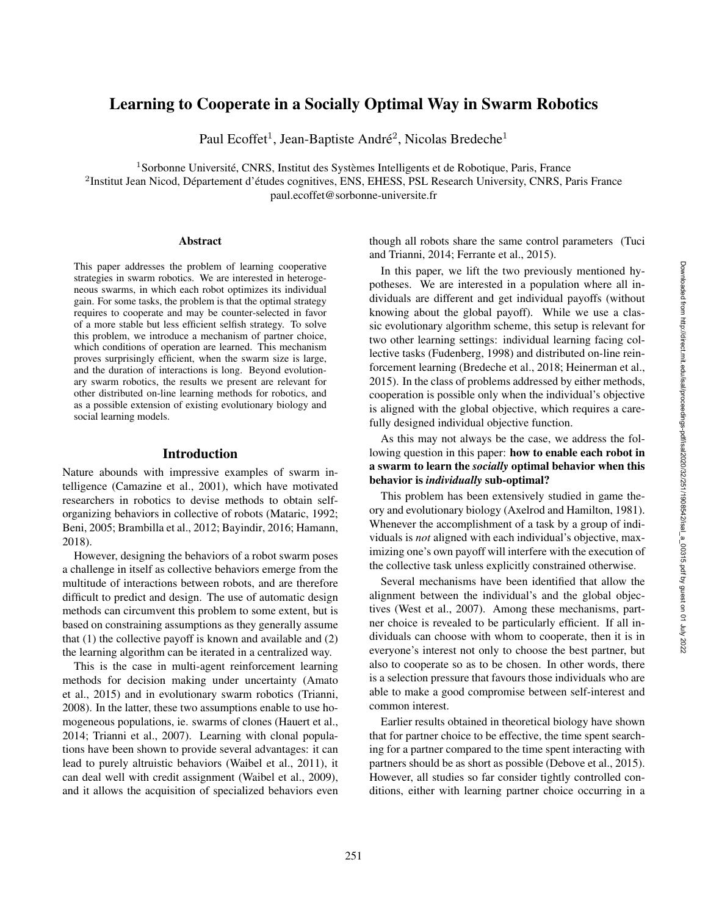# Learning to Cooperate in a Socially Optimal Way in Swarm Robotics

Paul Ecoffet<sup>1</sup>, Jean-Baptiste André<sup>2</sup>, Nicolas Bredeche<sup>1</sup>

<sup>1</sup>Sorbonne Université, CNRS, Institut des Systèmes Intelligents et de Robotique, Paris, France <sup>2</sup>Institut Jean Nicod, Département d'études cognitives, ENS, EHESS, PSL Research University, CNRS, Paris France

paul.ecoffet@sorbonne-universite.fr

#### Abstract

This paper addresses the problem of learning cooperative strategies in swarm robotics. We are interested in heterogeneous swarms, in which each robot optimizes its individual gain. For some tasks, the problem is that the optimal strategy requires to cooperate and may be counter-selected in favor of a more stable but less efficient selfish strategy. To solve this problem, we introduce a mechanism of partner choice, which conditions of operation are learned. This mechanism proves surprisingly efficient, when the swarm size is large, and the duration of interactions is long. Beyond evolutionary swarm robotics, the results we present are relevant for other distributed on-line learning methods for robotics, and as a possible extension of existing evolutionary biology and social learning models.

### Introduction

Nature abounds with impressive examples of swarm intelligence (Camazine et al., 2001), which have motivated researchers in robotics to devise methods to obtain selforganizing behaviors in collective of robots (Mataric, 1992; Beni, 2005; Brambilla et al., 2012; Bayindir, 2016; Hamann, 2018).

However, designing the behaviors of a robot swarm poses a challenge in itself as collective behaviors emerge from the multitude of interactions between robots, and are therefore difficult to predict and design. The use of automatic design methods can circumvent this problem to some extent, but is based on constraining assumptions as they generally assume that (1) the collective payoff is known and available and (2) the learning algorithm can be iterated in a centralized way.

This is the case in multi-agent reinforcement learning methods for decision making under uncertainty (Amato et al., 2015) and in evolutionary swarm robotics (Trianni, 2008). In the latter, these two assumptions enable to use homogeneous populations, ie. swarms of clones (Hauert et al., 2014; Trianni et al., 2007). Learning with clonal populations have been shown to provide several advantages: it can lead to purely altruistic behaviors (Waibel et al., 2011), it can deal well with credit assignment (Waibel et al., 2009), and it allows the acquisition of specialized behaviors even though all robots share the same control parameters (Tuci and Trianni, 2014; Ferrante et al., 2015).

In this paper, we lift the two previously mentioned hypotheses. We are interested in a population where all individuals are different and get individual payoffs (without knowing about the global payoff). While we use a classic evolutionary algorithm scheme, this setup is relevant for two other learning settings: individual learning facing collective tasks (Fudenberg, 1998) and distributed on-line reinforcement learning (Bredeche et al., 2018; Heinerman et al., 2015). In the class of problems addressed by either methods, cooperation is possible only when the individual's objective is aligned with the global objective, which requires a carefully designed individual objective function.

As this may not always be the case, we address the following question in this paper: how to enable each robot in a swarm to learn the *socially* optimal behavior when this behavior is *individually* sub-optimal?

This problem has been extensively studied in game theory and evolutionary biology (Axelrod and Hamilton, 1981). Whenever the accomplishment of a task by a group of individuals is *not* aligned with each individual's objective, maximizing one's own payoff will interfere with the execution of the collective task unless explicitly constrained otherwise.

Several mechanisms have been identified that allow the alignment between the individual's and the global objectives (West et al., 2007). Among these mechanisms, partner choice is revealed to be particularly efficient. If all individuals can choose with whom to cooperate, then it is in everyone's interest not only to choose the best partner, but also to cooperate so as to be chosen. In other words, there is a selection pressure that favours those individuals who are able to make a good compromise between self-interest and common interest.

Earlier results obtained in theoretical biology have shown that for partner choice to be effective, the time spent searching for a partner compared to the time spent interacting with partners should be as short as possible (Debove et al., 2015). However, all studies so far consider tightly controlled conditions, either with learning partner choice occurring in a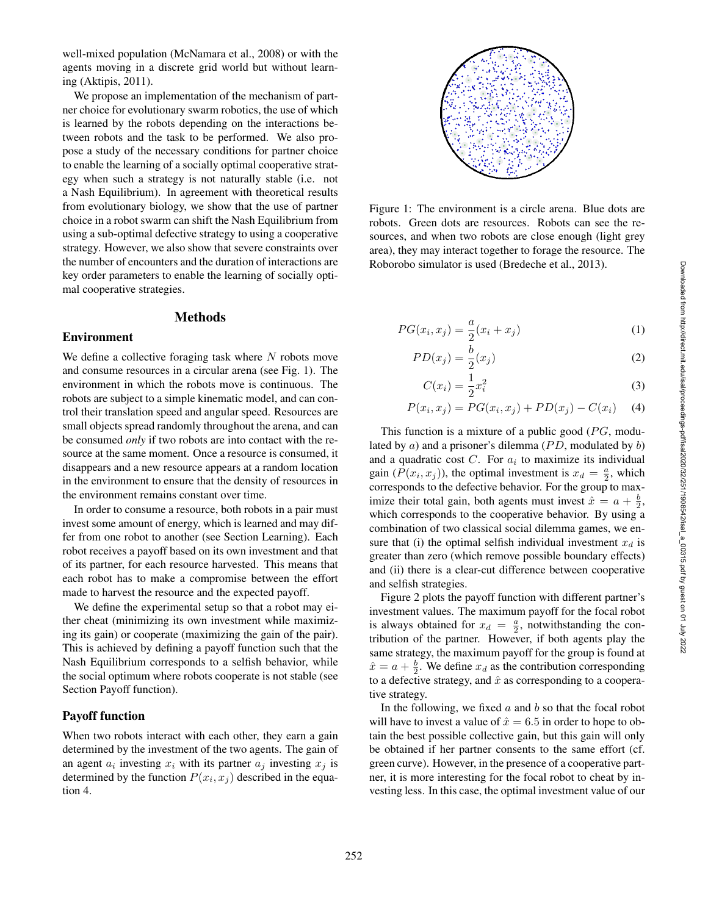well-mixed population (McNamara et al., 2008) or with the agents moving in a discrete grid world but without learning (Aktipis, 2011).

We propose an implementation of the mechanism of partner choice for evolutionary swarm robotics, the use of which is learned by the robots depending on the interactions between robots and the task to be performed. We also propose a study of the necessary conditions for partner choice to enable the learning of a socially optimal cooperative strategy when such a strategy is not naturally stable (i.e. not a Nash Equilibrium). In agreement with theoretical results from evolutionary biology, we show that the use of partner choice in a robot swarm can shift the Nash Equilibrium from using a sub-optimal defective strategy to using a cooperative strategy. However, we also show that severe constraints over the number of encounters and the duration of interactions are key order parameters to enable the learning of socially optimal cooperative strategies.

#### Methods

#### Environment

We define a collective foraging task where  $N$  robots move and consume resources in a circular arena (see Fig. 1). The environment in which the robots move is continuous. The robots are subject to a simple kinematic model, and can control their translation speed and angular speed. Resources are small objects spread randomly throughout the arena, and can be consumed *only* if two robots are into contact with the resource at the same moment. Once a resource is consumed, it disappears and a new resource appears at a random location in the environment to ensure that the density of resources in the environment remains constant over time.

In order to consume a resource, both robots in a pair must invest some amount of energy, which is learned and may differ from one robot to another (see Section Learning). Each robot receives a payoff based on its own investment and that of its partner, for each resource harvested. This means that each robot has to make a compromise between the effort made to harvest the resource and the expected payoff.

We define the experimental setup so that a robot may either cheat (minimizing its own investment while maximizing its gain) or cooperate (maximizing the gain of the pair). This is achieved by defining a payoff function such that the Nash Equilibrium corresponds to a selfish behavior, while the social optimum where robots cooperate is not stable (see Section Payoff function).

## Payoff function

When two robots interact with each other, they earn a gain determined by the investment of the two agents. The gain of an agent  $a_i$  investing  $x_i$  with its partner  $a_j$  investing  $x_j$  is determined by the function  $P(x_i, x_j)$  described in the equation 4.



Figure 1: The environment is a circle arena. Blue dots are robots. Green dots are resources. Robots can see the resources, and when two robots are close enough (light grey area), they may interact together to forage the resource. The Roborobo simulator is used (Bredeche et al., 2013).

$$
PG(x_i, x_j) = \frac{a}{2}(x_i + x_j)
$$
 (1)

$$
PD(x_j) = \frac{b}{2}(x_j)
$$
 (2)

$$
C(x_i) = \frac{1}{2}x_i^2\tag{3}
$$

$$
P(x_i, x_j) = PG(x_i, x_j) + PD(x_j) - C(x_i)
$$
 (4)

This function is a mixture of a public good  $(PG, \text{mod}u)$ lated by  $a)$  and a prisoner's dilemma ( $PD$ , modulated by  $b)$ ) and a quadratic cost C. For  $a_i$  to maximize its individual gain  $(P(x_i, x_j))$ , the optimal investment is  $x_d = \frac{a}{2}$ , which corresponds to the defective behavior. For the group to maximize their total gain, both agents must invest  $\hat{x} = a + \frac{b}{2}$ , which corresponds to the cooperative behavior. By using a combination of two classical social dilemma games, we ensure that (i) the optimal selfish individual investment  $x_d$  is greater than zero (which remove possible boundary effects) and (ii) there is a clear-cut difference between cooperative and selfish strategies.

Figure 2 plots the payoff function with different partner's investment values. The maximum payoff for the focal robot is always obtained for  $x_d = \frac{a}{2}$ , notwithstanding the contribution of the partner. However, if both agents play the same strategy, the maximum payoff for the group is found at  $\hat{x} = a + \frac{b}{2}$ . We define  $x_d$  as the contribution corresponding to a defective strategy, and  $\hat{x}$  as corresponding to a cooperative strategy.

In the following, we fixed  $a$  and  $b$  so that the focal robot will have to invest a value of  $\hat{x} = 6.5$  in order to hope to obtain the best possible collective gain, but this gain will only be obtained if her partner consents to the same effort (cf. green curve). However, in the presence of a cooperative partner, it is more interesting for the focal robot to cheat by investing less. In this case, the optimal investment value of our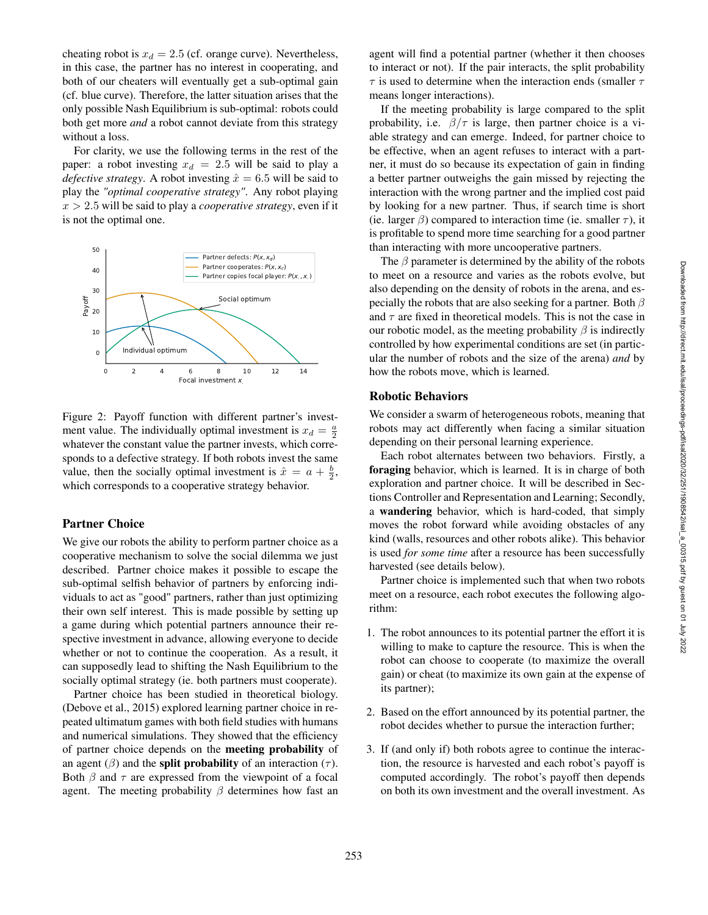cheating robot is  $x_d = 2.5$  (cf. orange curve). Nevertheless, in this case, the partner has no interest in cooperating, and both of our cheaters will eventually get a sub-optimal gain (cf. blue curve). Therefore, the latter situation arises that the only possible Nash Equilibrium is sub-optimal: robots could both get more *and* a robot cannot deviate from this strategy without a loss.

For clarity, we use the following terms in the rest of the paper: a robot investing  $x_d = 2.5$  will be said to play a *defective strategy*. A robot investing  $\hat{x} = 6.5$  will be said to play the *"optimal cooperative strategy"*. Any robot playing  $x > 2.5$  will be said to play a *cooperative strategy*, even if it is not the optimal one.



Figure 2: Payoff function with different partner's investment value. The individually optimal investment is  $x_d = \frac{a}{2}$ whatever the constant value the partner invests, which corresponds to a defective strategy. If both robots invest the same value, then the socially optimal investment is  $\hat{x} = a + \frac{b}{2}$ , which corresponds to a cooperative strategy behavior.

## Partner Choice

We give our robots the ability to perform partner choice as a cooperative mechanism to solve the social dilemma we just described. Partner choice makes it possible to escape the sub-optimal selfish behavior of partners by enforcing individuals to act as "good" partners, rather than just optimizing their own self interest. This is made possible by setting up a game during which potential partners announce their respective investment in advance, allowing everyone to decide whether or not to continue the cooperation. As a result, it can supposedly lead to shifting the Nash Equilibrium to the socially optimal strategy (ie. both partners must cooperate).

Partner choice has been studied in theoretical biology. (Debove et al., 2015) explored learning partner choice in repeated ultimatum games with both field studies with humans and numerical simulations. They showed that the efficiency of partner choice depends on the meeting probability of an agent  $(\beta)$  and the **split probability** of an interaction  $(\tau)$ . Both  $\beta$  and  $\tau$  are expressed from the viewpoint of a focal agent. The meeting probability  $\beta$  determines how fast an

agent will find a potential partner (whether it then chooses to interact or not). If the pair interacts, the split probability  $\tau$  is used to determine when the interaction ends (smaller  $\tau$ means longer interactions).

If the meeting probability is large compared to the split probability, i.e.  $\beta/\tau$  is large, then partner choice is a viable strategy and can emerge. Indeed, for partner choice to be effective, when an agent refuses to interact with a partner, it must do so because its expectation of gain in finding a better partner outweighs the gain missed by rejecting the interaction with the wrong partner and the implied cost paid by looking for a new partner. Thus, if search time is short (ie. larger  $\beta$ ) compared to interaction time (ie. smaller  $\tau$ ), it is profitable to spend more time searching for a good partner than interacting with more uncooperative partners.

The  $\beta$  parameter is determined by the ability of the robots to meet on a resource and varies as the robots evolve, but also depending on the density of robots in the arena, and especially the robots that are also seeking for a partner. Both  $\beta$ and  $\tau$  are fixed in theoretical models. This is not the case in our robotic model, as the meeting probability  $\beta$  is indirectly controlled by how experimental conditions are set (in particular the number of robots and the size of the arena) *and* by how the robots move, which is learned.

#### Robotic Behaviors

We consider a swarm of heterogeneous robots, meaning that robots may act differently when facing a similar situation depending on their personal learning experience.

Each robot alternates between two behaviors. Firstly, a foraging behavior, which is learned. It is in charge of both exploration and partner choice. It will be described in Sections Controller and Representation and Learning; Secondly, a wandering behavior, which is hard-coded, that simply moves the robot forward while avoiding obstacles of any kind (walls, resources and other robots alike). This behavior is used *for some time* after a resource has been successfully harvested (see details below).

Partner choice is implemented such that when two robots meet on a resource, each robot executes the following algorithm:

- 1. The robot announces to its potential partner the effort it is willing to make to capture the resource. This is when the robot can choose to cooperate (to maximize the overall gain) or cheat (to maximize its own gain at the expense of its partner);
- 2. Based on the effort announced by its potential partner, the robot decides whether to pursue the interaction further;
- 3. If (and only if) both robots agree to continue the interaction, the resource is harvested and each robot's payoff is computed accordingly. The robot's payoff then depends on both its own investment and the overall investment. As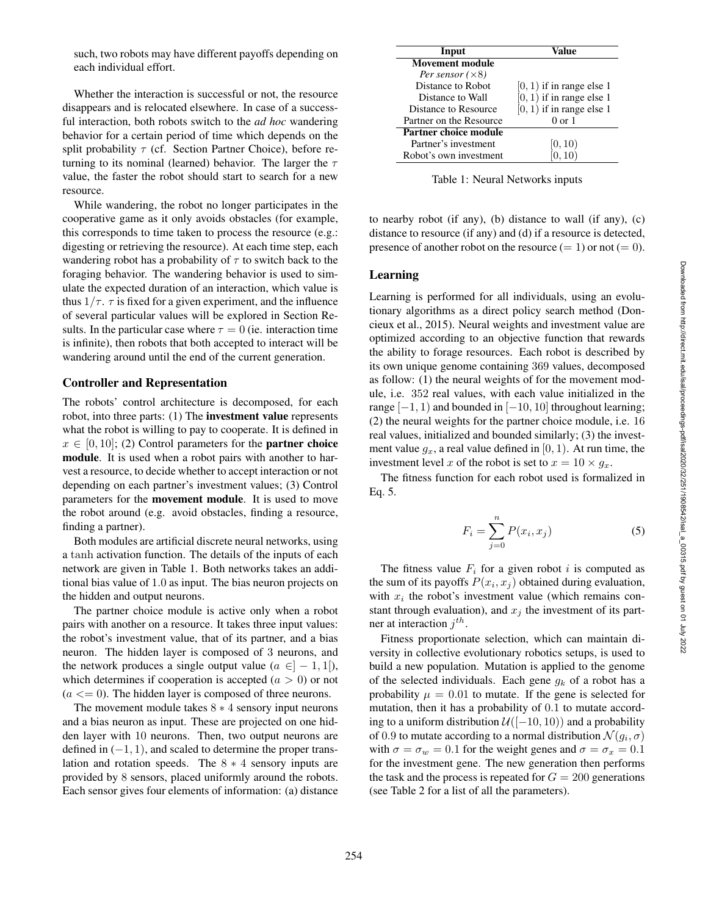Whether the interaction is successful or not, the resource disappears and is relocated elsewhere. In case of a successful interaction, both robots switch to the *ad hoc* wandering behavior for a certain period of time which depends on the split probability  $\tau$  (cf. Section Partner Choice), before returning to its nominal (learned) behavior. The larger the  $\tau$ value, the faster the robot should start to search for a new resource.

While wandering, the robot no longer participates in the cooperative game as it only avoids obstacles (for example, this corresponds to time taken to process the resource (e.g.: digesting or retrieving the resource). At each time step, each wandering robot has a probability of  $\tau$  to switch back to the foraging behavior. The wandering behavior is used to simulate the expected duration of an interaction, which value is thus  $1/\tau$ .  $\tau$  is fixed for a given experiment, and the influence of several particular values will be explored in Section Results. In the particular case where  $\tau = 0$  (ie. interaction time is infinite), then robots that both accepted to interact will be wandering around until the end of the current generation.

## Controller and Representation

The robots' control architecture is decomposed, for each robot, into three parts: (1) The investment value represents what the robot is willing to pay to cooperate. It is defined in  $x \in [0, 10]$ ; (2) Control parameters for the **partner choice** module. It is used when a robot pairs with another to harvest a resource, to decide whether to accept interaction or not depending on each partner's investment values; (3) Control parameters for the movement module. It is used to move the robot around (e.g. avoid obstacles, finding a resource, finding a partner).

Both modules are artificial discrete neural networks, using a tanh activation function. The details of the inputs of each network are given in Table 1. Both networks takes an additional bias value of 1.0 as input. The bias neuron projects on the hidden and output neurons.

The partner choice module is active only when a robot pairs with another on a resource. It takes three input values: the robot's investment value, that of its partner, and a bias neuron. The hidden layer is composed of 3 neurons, and the network produces a single output value  $(a \in ]-1,1[$ ), which determines if cooperation is accepted  $(a > 0)$  or not  $(a \leq 0)$ . The hidden layer is composed of three neurons.

The movement module takes  $8 * 4$  sensory input neurons and a bias neuron as input. These are projected on one hidden layer with 10 neurons. Then, two output neurons are defined in  $(-1, 1)$ , and scaled to determine the proper translation and rotation speeds. The 8 ∗ 4 sensory inputs are provided by 8 sensors, placed uniformly around the robots. Each sensor gives four elements of information: (a) distance

| Input                   | Value                       |  |
|-------------------------|-----------------------------|--|
| <b>Movement module</b>  |                             |  |
| Per sensor $(\times 8)$ |                             |  |
| Distance to Robot       | $[0, 1)$ if in range else 1 |  |
| Distance to Wall        | $[0, 1)$ if in range else 1 |  |
| Distance to Resource    | $[0, 1)$ if in range else 1 |  |
| Partner on the Resource | $0 \text{ or } 1$           |  |
| Partner choice module   |                             |  |
| Partner's investment    | [0, 10)                     |  |
| Robot's own investment  |                             |  |

Table 1: Neural Networks inputs

to nearby robot (if any), (b) distance to wall (if any), (c) distance to resource (if any) and (d) if a resource is detected, presence of another robot on the resource  $(= 1)$  or not  $(= 0)$ .

#### Learning

Learning is performed for all individuals, using an evolutionary algorithms as a direct policy search method (Doncieux et al., 2015). Neural weights and investment value are optimized according to an objective function that rewards the ability to forage resources. Each robot is described by its own unique genome containing 369 values, decomposed as follow: (1) the neural weights of for the movement module, i.e. 352 real values, with each value initialized in the range  $[-1, 1)$  and bounded in  $[-10, 10]$  throughout learning; (2) the neural weights for the partner choice module, i.e. 16 real values, initialized and bounded similarly; (3) the investment value  $g_x$ , a real value defined in [0, 1]. At run time, the investment level x of the robot is set to  $x = 10 \times g_x$ .

The fitness function for each robot used is formalized in Eq. 5.

$$
F_i = \sum_{j=0}^{n} P(x_i, x_j)
$$
\n<sup>(5)</sup>

The fitness value  $F_i$  for a given robot i is computed as the sum of its payoffs  $P(x_i, x_j)$  obtained during evaluation, with  $x_i$  the robot's investment value (which remains constant through evaluation), and  $x_j$  the investment of its partner at interaction  $j^{th}$ .

Fitness proportionate selection, which can maintain diversity in collective evolutionary robotics setups, is used to build a new population. Mutation is applied to the genome of the selected individuals. Each gene  $g_k$  of a robot has a probability  $\mu = 0.01$  to mutate. If the gene is selected for mutation, then it has a probability of 0 . 1 to mutate according to a uniform distribution  $\mathcal{U}([-10, 10))$  and a probability of 0.9 to mutate according to a normal distribution  $\mathcal{N}(g_i, \sigma)$ with  $\sigma = \sigma_w = 0.1$  for the weight genes and  $\sigma = \sigma_x = 0.1$ for the investment gene. The new generation then performs the task and the process is repeated for  $G = 200$  generations (see Table 2 for a list of all the parameters).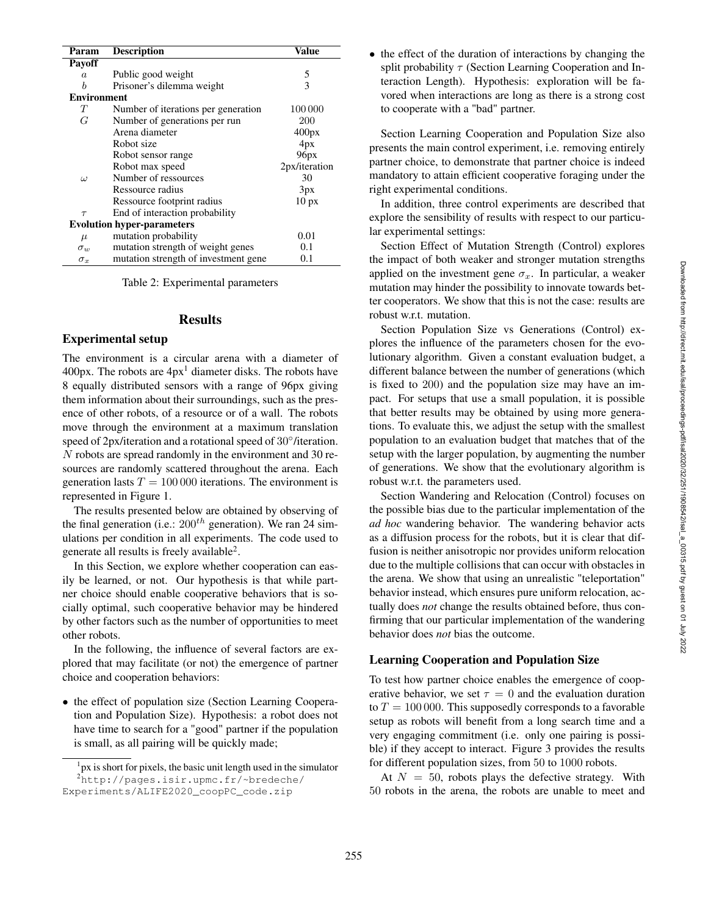| Param                             | <b>Description</b>                   | Value           |
|-----------------------------------|--------------------------------------|-----------------|
| Payoff                            |                                      |                 |
| $\alpha$                          | Public good weight                   | 5               |
| h                                 | Prisoner's dilemma weight            | 3               |
| Environment                       |                                      |                 |
| T                                 | Number of iterations per generation  | 100 000         |
| G                                 | Number of generations per run        | 200             |
|                                   | Arena diameter                       | 400px           |
|                                   | Robot size                           | 4px             |
|                                   | Robot sensor range                   | 96px            |
|                                   | Robot max speed                      | 2px/iteration   |
| $\omega$                          | Number of ressources                 | 30              |
|                                   | Ressource radius                     | 3px             |
|                                   | Ressource footprint radius           | $10 \text{ px}$ |
| $\tau$                            | End of interaction probability       |                 |
| <b>Evolution hyper-parameters</b> |                                      |                 |
| $\mu$                             | mutation probability                 | 0.01            |
| $\sigma_w$                        | mutation strength of weight genes    | 0.1             |
| $\sigma_r$                        | mutation strength of investment gene | 0.1             |

Table 2: Experimental parameters

## Results

#### Experimental setup

The environment is a circular arena with a diameter of 400px. The robots are  $4px^1$  diameter disks. The robots have 8 equally distributed sensors with a range of 96px giving them information about their surroundings, such as the presence of other robots, of a resource or of a wall. The robots move through the environment at a maximum translation speed of 2px/iteration and a rotational speed of 30°/iteration. N robots are spread randomly in the environment and 30 resources are randomly scattered throughout the arena. Each generation lasts  $T = 100000$  iterations. The environment is represented in Figure 1.

The results presented below are obtained by observing of the final generation (i.e.:  $200^{th}$  generation). We ran 24 simulations per condition in all experiments. The code used to generate all results is freely available<sup>2</sup>.

In this Section, we explore whether cooperation can easily be learned, or not. Our hypothesis is that while partner choice should enable cooperative behaviors that is socially optimal, such cooperative behavior may be hindered by other factors such as the number of opportunities to meet other robots.

In the following, the influence of several factors are explored that may facilitate (or not) the emergence of partner choice and cooperation behaviors:

• the effect of population size (Section Learning Cooperation and Population Size). Hypothesis: a robot does not have time to search for a "good" partner if the population is small, as all pairing will be quickly made;

• the effect of the duration of interactions by changing the split probability τ (Section Learning Cooperation and Interaction Length). Hypothesis: exploration will be favored when interactions are long as there is a strong cost to cooperate with a "bad" partner.

Section Learning Cooperation and Population Size also presents the main control experiment, i.e. removing entirely partner choice, to demonstrate that partner choice is indeed mandatory to attain efficient cooperative foraging under the right experimental conditions.

In addition, three control experiments are described that explore the sensibility of results with respect to our particular experimental settings:

Section Effect of Mutation Strength (Control) explores the impact of both weaker and stronger mutation strengths applied on the investment gene  $\sigma_x$ . In particular, a weaker mutation may hinder the possibility to innovate towards better cooperators. We show that this is not the case: results are robust w.r.t. mutation.

Section Population Size vs Generations (Control) explores the influence of the parameters chosen for the evolutionary algorithm. Given a constant evaluation budget, a different balance between the number of generations (which is fixed to 200) and the population size may have an impact. For setups that use a small population, it is possible that better results may be obtained by using more generations. To evaluate this, we adjust the setup with the smallest population to an evaluation budget that matches that of the setup with the larger population, by augmenting the number of generations. We show that the evolutionary algorithm is robust w.r.t. the parameters used.

Section Wandering and Relocation (Control) focuses on the possible bias due to the particular implementation of the *ad hoc* wandering behavior. The wandering behavior acts as a diffusion process for the robots, but it is clear that diffusion is neither anisotropic nor provides uniform relocation due to the multiple collisions that can occur with obstacles in the arena. We show that using an unrealistic "teleportation" behavior instead, which ensures pure uniform relocation, actually does *not* change the results obtained before, thus confirming that our particular implementation of the wandering behavior does *not* bias the outcome.

## Learning Cooperation and Population Size

To test how partner choice enables the emergence of cooperative behavior, we set  $\tau = 0$  and the evaluation duration to  $T = 100000$ . This supposedly corresponds to a favorable setup as robots will benefit from a long search time and a very engaging commitment (i.e. only one pairing is possible) if they accept to interact. Figure 3 provides the results for different population sizes, from 50 to 1000 robots.

At  $N = 50$ , robots plays the defective strategy. With 50 robots in the arena, the robots are unable to meet and

<sup>&</sup>lt;sup>1</sup>px is short for pixels, the basic unit length used in the simulator <sup>2</sup>http://pages.isir.upmc.fr/~bredeche/ Experiments/ALIFE2020\_coopPC\_code.zip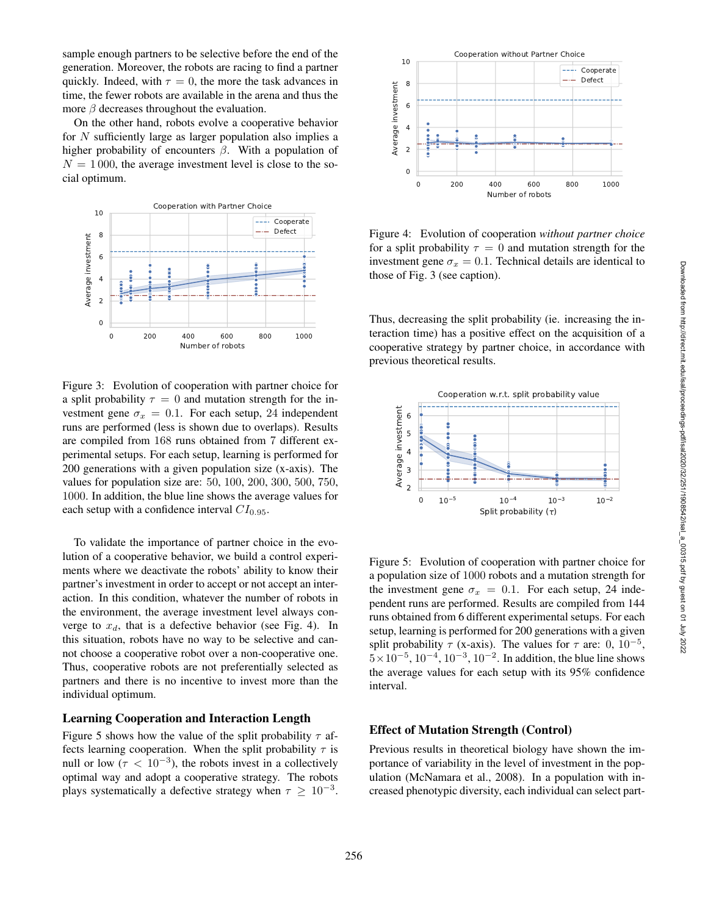sample enough partners to be selective before the end of the generation. Moreover, the robots are racing to find a partner quickly. Indeed, with  $\tau = 0$ , the more the task advances in time, the fewer robots are available in the arena and thus the more  $\beta$  decreases throughout the evaluation.

On the other hand, robots evolve a cooperative behavior for N sufficiently large as larger population also implies a higher probability of encounters  $\beta$ . With a population of  $N = 1000$ , the average investment level is close to the social optimum.



Figure 3: Evolution of cooperation with partner choice for a split probability  $\tau = 0$  and mutation strength for the investment gene  $\sigma_x = 0.1$ . For each setup, 24 independent runs are performed (less is shown due to overlaps). Results are compiled from 168 runs obtained from 7 different experimental setups. For each setup, learning is performed for 200 generations with a given population size (x-axis). The values for population size are: 50, 100, 200, 300, 500, 750, 1000. In addition, the blue line shows the average values for each setup with a confidence interval  $CI_{0.95}$ .

To validate the importance of partner choice in the evolution of a cooperative behavior, we build a control experiments where we deactivate the robots' ability to know their partner's investment in order to accept or not accept an interaction. In this condition, whatever the number of robots in the environment, the average investment level always converge to  $x_d$ , that is a defective behavior (see Fig. 4). In this situation, robots have no way to be selective and cannot choose a cooperative robot over a non-cooperative one. Thus, cooperative robots are not preferentially selected as partners and there is no incentive to invest more than the individual optimum.

# Learning Cooperation and Interaction Length

Figure 5 shows how the value of the split probability  $\tau$  affects learning cooperation. When the split probability  $\tau$  is null or low ( $\tau < 10^{-3}$ ), the robots invest in a collectively optimal way and adopt a cooperative strategy. The robots plays systematically a defective strategy when  $\tau \geq 10^{-3}$ .



Figure 4: Evolution of cooperation *without partner choice* for a split probability  $\tau = 0$  and mutation strength for the investment gene  $\sigma_x = 0.1$ . Technical details are identical to those of Fig. 3 (see caption).

Thus, decreasing the split probability (ie. increasing the interaction time) has a positive effect on the acquisition of a cooperative strategy by partner choice, in accordance with previous theoretical results.



Figure 5: Evolution of cooperation with partner choice for a population size of 1000 robots and a mutation strength for the investment gene  $\sigma_x = 0.1$ . For each setup, 24 independent runs are performed. Results are compiled from 144 runs obtained from 6 different experimental setups. For each setup, learning is performed for 200 generations with a given split probability  $\tau$  (x-axis). The values for  $\tau$  are: 0,  $10^{-5}$ ,  $5 \times 10^{-5}$ ,  $10^{-4}$ ,  $10^{-3}$ ,  $10^{-2}$ . In addition, the blue line shows the average values for each setup with its 95% confidence interval.

# Effect of Mutation Strength (Control)

Previous results in theoretical biology have shown the importance of variability in the level of investment in the population (McNamara et al., 2008). In a population with increased phenotypic diversity, each individual can select part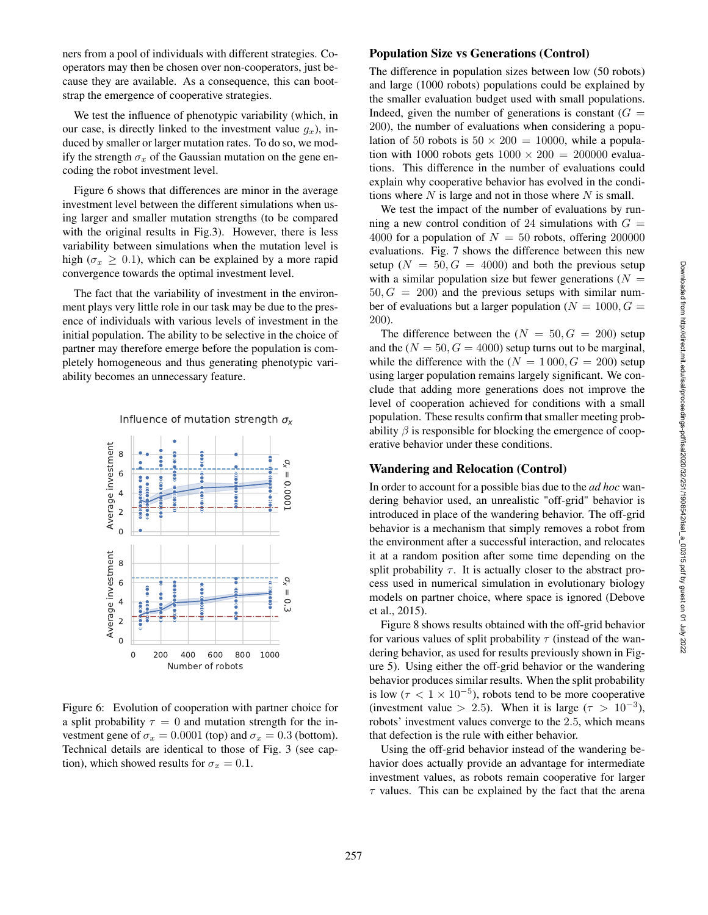ners from a pool of individuals with different strategies. Cooperators may then be chosen over non-cooperators, just because they are available. As a consequence, this can bootstrap the emergence of cooperative strategies.

We test the influence of phenotypic variability (which, in our case, is directly linked to the investment value  $g_x$ ), induced by smaller or larger mutation rates. To do so, we modify the strength  $\sigma_x$  of the Gaussian mutation on the gene encoding the robot investment level.

Figure 6 shows that differences are minor in the average investment level between the different simulations when using larger and smaller mutation strengths (to be compared with the original results in Fig.3). However, there is less variability between simulations when the mutation level is high ( $\sigma_x \geq 0.1$ ), which can be explained by a more rapid convergence towards the optimal investment level.

The fact that the variability of investment in the environment plays very little role in our task may be due to the presence of individuals with various levels of investment in the initial population. The ability to be selective in the choice of partner may therefore emerge before the population is completely homogeneous and thus generating phenotypic variability becomes an unnecessary feature.





Figure 6: Evolution of cooperation with partner choice for a split probability  $\tau = 0$  and mutation strength for the investment gene of  $\sigma_x = 0.0001$  (top) and  $\sigma_x = 0.3$  (bottom). Technical details are identical to those of Fig. 3 (see caption), which showed results for  $\sigma_x = 0.1$ .

# Population Size vs Generations (Control)

The difference in population sizes between low (50 robots) and large (1000 robots) populations could be explained by the smaller evaluation budget used with small populations. Indeed, given the number of generations is constant  $(G =$ 200), the number of evaluations when considering a population of 50 robots is  $50 \times 200 = 10000$ , while a population with 1000 robots gets  $1000 \times 200 = 200000$  evaluations. This difference in the number of evaluations could explain why cooperative behavior has evolved in the conditions where  $N$  is large and not in those where  $N$  is small.

We test the impact of the number of evaluations by running a new control condition of 24 simulations with  $G =$ 4000 for a population of  $N = 50$  robots, offering 200000 evaluations. Fig. 7 shows the difference between this new setup ( $N = 50, G = 4000$ ) and both the previous setup with a similar population size but fewer generations  $(N =$  $50, G = 200$  and the previous setups with similar number of evaluations but a larger population ( $N = 1000, G =$ 200).

The difference between the  $(N = 50, G = 200)$  setup and the ( $N = 50, G = 4000$ ) setup turns out to be marginal, while the difference with the  $(N = 1000, G = 200)$  setup using larger population remains largely significant. We conclude that adding more generations does not improve the level of cooperation achieved for conditions with a small population. These results confirm that smaller meeting probability  $\beta$  is responsible for blocking the emergence of cooperative behavior under these conditions.

#### Wandering and Relocation (Control)

In order to account for a possible bias due to the *ad hoc* wandering behavior used, an unrealistic "off-grid" behavior is introduced in place of the wandering behavior. The off-grid behavior is a mechanism that simply removes a robot from the environment after a successful interaction, and relocates it at a random position after some time depending on the split probability  $\tau$ . It is actually closer to the abstract process used in numerical simulation in evolutionary biology models on partner choice, where space is ignored (Debove et al., 2015).

Figure 8 shows results obtained with the off-grid behavior for various values of split probability  $\tau$  (instead of the wandering behavior, as used for results previously shown in Figure 5). Using either the off-grid behavior or the wandering behavior produces similar results. When the split probability is low ( $\tau < 1 \times 10^{-5}$ ), robots tend to be more cooperative (investment value > 2.5). When it is large ( $\tau > 10^{-3}$ ), robots' investment values converge to the 2 . 5, which means that defection is the rule with either behavior.

Using the off-grid behavior instead of the wandering behavior does actually provide an advantage for intermediate investment values, as robots remain cooperative for larger  $\tau$  values. This can be explained by the fact that the arena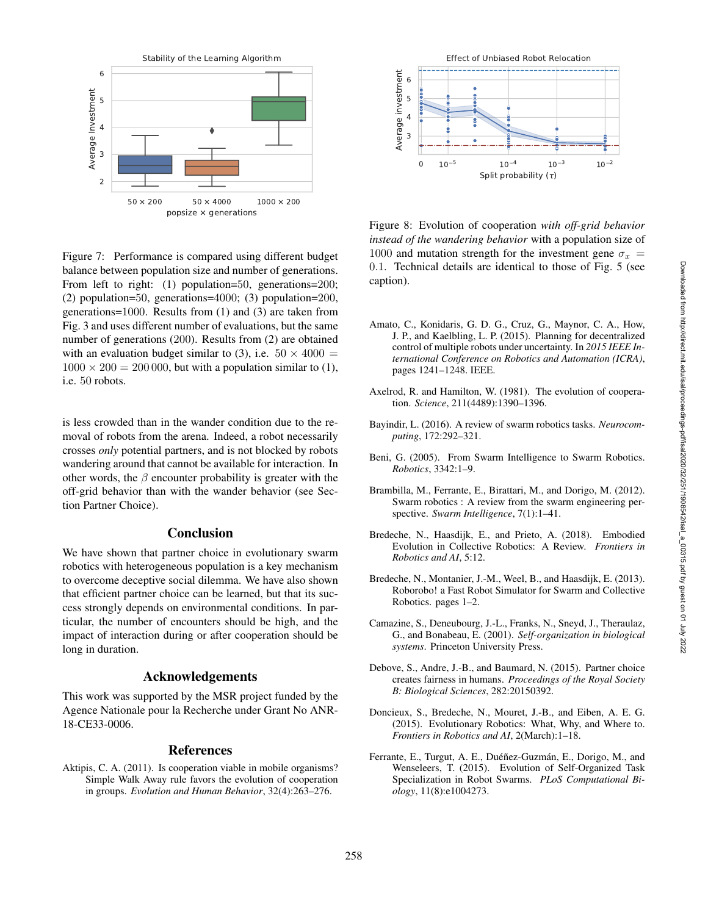

Figure 7: Performance is compared using different budget balance between population size and number of generations. From left to right: (1) population=50, generations=200; (2) population=50, generations=4000; (3) population=200 , generations=1000. Results from (1) and (3) are taken from Fig. 3 and uses different number of evaluations, but the same number of generations (200). Results from (2) are obtained with an evaluation budget similar to (3), i.e.  $50 \times 4000 =$  $1000 \times 200 = 200 000$ , but with a population similar to (1), i.e. 50 robots.

is less crowded than in the wander condition due to the removal of robots from the arena. Indeed, a robot necessarily crosses *only* potential partners, and is not blocked by robots wandering around that cannot be available for interaction. In other words, the  $\beta$  encounter probability is greater with the off-grid behavior than with the wander behavior (see Section Partner Choice).

# **Conclusion**

We have shown that partner choice in evolutionary swarm robotics with heterogeneous population is a key mechanism to overcome deceptive social dilemma. We have also shown that efficient partner choice can be learned, but that its success strongly depends on environmental conditions. In particular, the number of encounters should be high, and the impact of interaction during or after cooperation should be long in duration.

## Acknowledgements

This work was supported by the MSR project funded by the Agence Nationale pour la Recherche under Grant No ANR-18-CE33-0006.

## References

Aktipis, C. A. (2011). Is cooperation viable in mobile organisms? Simple Walk Away rule favors the evolution of cooperation in groups. *Evolution and Human Behavior*, 32(4):263–276.



Figure 8: Evolution of cooperation *with off-grid behavior instead of the wandering behavior* with a population size of 1000 and mutation strength for the investment gene  $\sigma_x$  = 0 . 1. Technical details are identical to those of Fig. 5 (see caption).

- Amato, C., Konidaris, G. D. G., Cruz, G., Maynor, C. A., How, J. P., and Kaelbling, L. P. (2015). Planning for decentralized control of multiple robots under uncertainty. In *2015 IEEE International Conference on Robotics and Automation (ICRA)*, pages 1241–1248. IEEE.
- Axelrod, R. and Hamilton, W. (1981). The evolution of cooperation. *Science*, 211(4489):1390–1396.
- Bayindir, L. (2016). A review of swarm robotics tasks. *Neurocomputing*, 172:292–321.
- Beni, G. (2005). From Swarm Intelligence to Swarm Robotics. *Robotics*, 3342:1–9.
- Brambilla, M., Ferrante, E., Birattari, M., and Dorigo, M. (2012). Swarm robotics : A review from the swarm engineering perspective. *Swarm Intelligence*, 7(1):1–41.
- Bredeche, N., Haasdijk, E., and Prieto, A. (2018). Embodied Evolution in Collective Robotics: A Review. *Frontiers in Robotics and AI*, 5:12.
- Bredeche, N., Montanier, J.-M., Weel, B., and Haasdijk, E. (2013). Roborobo! a Fast Robot Simulator for Swarm and Collective Robotics. pages 1–2.
- Camazine, S., Deneubourg, J.-L., Franks, N., Sneyd, J., Theraulaz, G., and Bonabeau, E. (2001). *Self-organization in biological systems*. Princeton University Press.
- Debove, S., Andre, J.-B., and Baumard, N. (2015). Partner choice creates fairness in humans. *Proceedings of the Royal Society B: Biological Sciences*, 282:20150392.
- Doncieux, S., Bredeche, N., Mouret, J.-B., and Eiben, A. E. G. (2015). Evolutionary Robotics: What, Why, and Where to. *Frontiers in Robotics and AI*, 2(March):1–18.
- Ferrante, E., Turgut, A. E., Duéñez-Guzmán, E., Dorigo, M., and Wenseleers, T. (2015). Evolution of Self-Organized Task Specialization in Robot Swarms. *PLoS Computational Biology*, 11(8):e1004273.